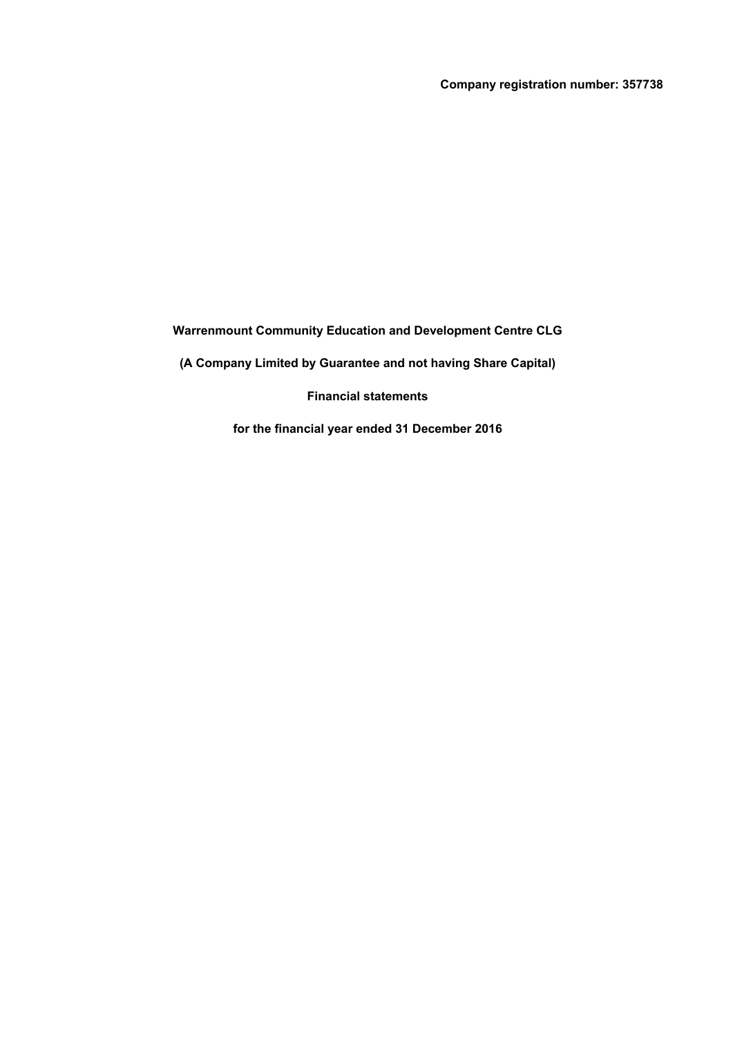**Warrenmount Community Education and Development Centre CLG**

**(A Company Limited by Guarantee and not having Share Capital)**

**Financial statements**

**for the financial year ended 31 December 2016**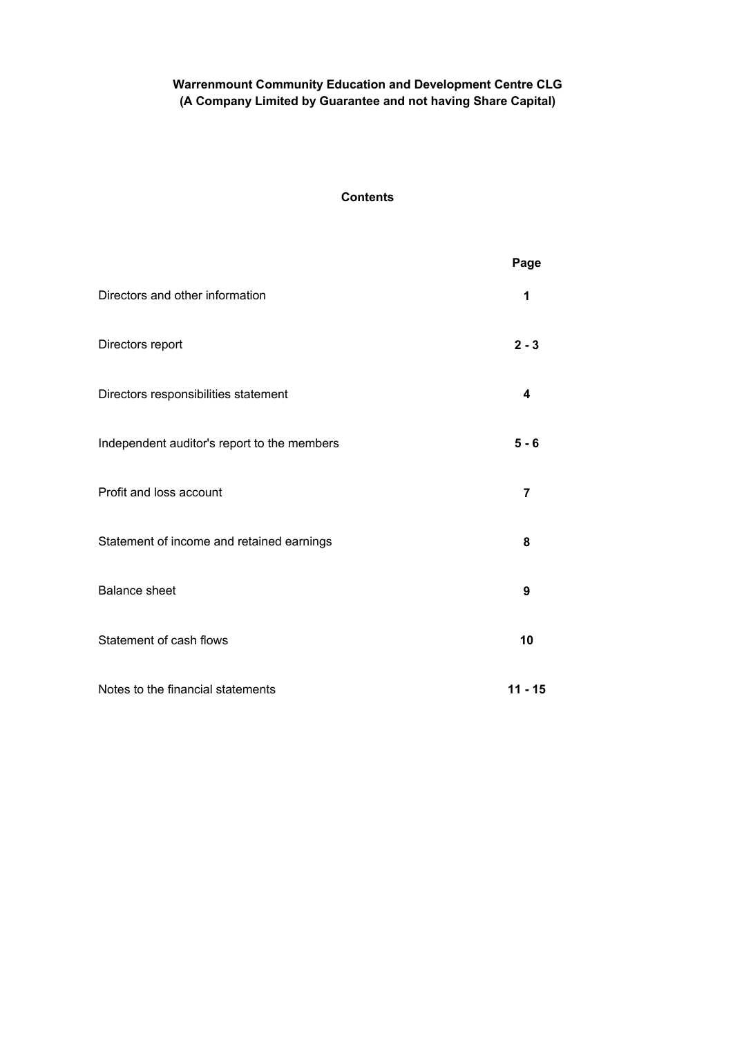# **Contents**

|                                             | Page           |
|---------------------------------------------|----------------|
| Directors and other information             | 1              |
| Directors report                            | $2 - 3$        |
| Directors responsibilities statement        | 4              |
| Independent auditor's report to the members | $5 - 6$        |
| Profit and loss account                     | $\overline{7}$ |
| Statement of income and retained earnings   | 8              |
| <b>Balance sheet</b>                        | 9              |
| Statement of cash flows                     | 10             |
| Notes to the financial statements           | $11 - 15$      |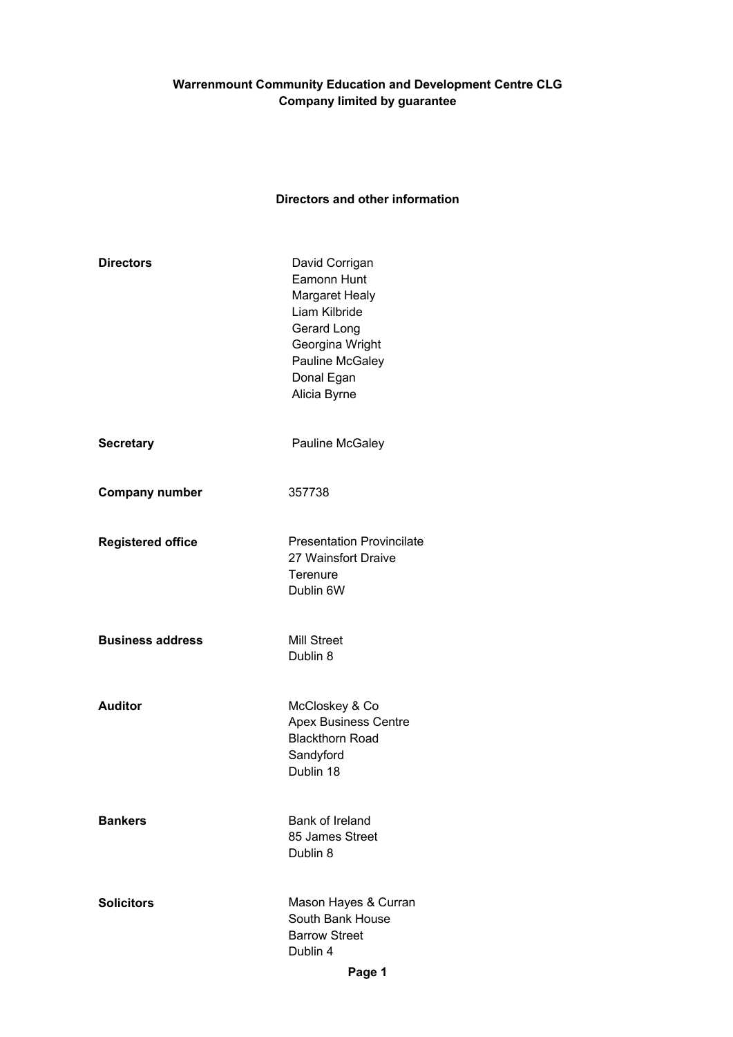# **Warrenmount Community Education and Development Centre CLG Company limited by guarantee**

# **Directors and other information**

| <b>Directors</b>         | David Corrigan<br>Eamonn Hunt<br><b>Margaret Healy</b><br>Liam Kilbride<br>Gerard Long<br>Georgina Wright<br>Pauline McGaley<br>Donal Egan<br>Alicia Byrne |
|--------------------------|------------------------------------------------------------------------------------------------------------------------------------------------------------|
| <b>Secretary</b>         | Pauline McGaley                                                                                                                                            |
| <b>Company number</b>    | 357738                                                                                                                                                     |
| <b>Registered office</b> | <b>Presentation Provincilate</b><br>27 Wainsfort Draive<br>Terenure<br>Dublin 6W                                                                           |
| <b>Business address</b>  | <b>Mill Street</b><br>Dublin <sub>8</sub>                                                                                                                  |
| <b>Auditor</b>           | McCloskey & Co<br><b>Apex Business Centre</b><br><b>Blackthorn Road</b><br>Sandyford<br>Dublin 18                                                          |
| <b>Bankers</b>           | Bank of Ireland<br>85 James Street<br>Dublin 8                                                                                                             |
| <b>Solicitors</b>        | Mason Hayes & Curran<br>South Bank House<br><b>Barrow Street</b><br>Dublin 4<br>Page 1                                                                     |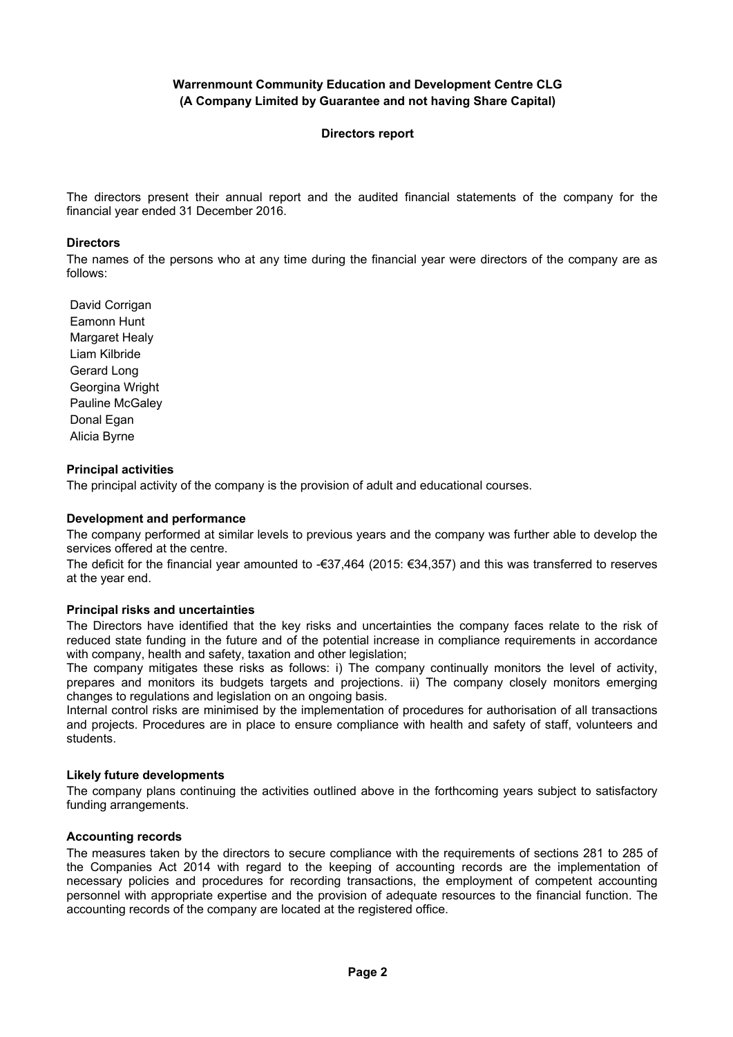### **Directors report**

The directors present their annual report and the audited financial statements of the company for the financial year ended 31 December 2016.

#### **Directors**

The names of the persons who at any time during the financial year were directors of the company are as follows:

David Corrigan Eamonn Hunt Margaret Healy Liam Kilbride Gerard Long Georgina Wright Pauline McGaley Donal Egan Alicia Byrne

### **Principal activities**

The principal activity of the company is the provision of adult and educational courses.

#### **Development and performance**

The company performed at similar levels to previous years and the company was further able to develop the services offered at the centre.

The deficit for the financial year amounted to -€37,464 (2015: €34,357) and this was transferred to reserves at the year end.

#### **Principal risks and uncertainties**

The Directors have identified that the key risks and uncertainties the company faces relate to the risk of reduced state funding in the future and of the potential increase in compliance requirements in accordance with company, health and safety, taxation and other legislation;

The company mitigates these risks as follows: i) The company continually monitors the level of activity, prepares and monitors its budgets targets and projections. ii) The company closely monitors emerging changes to regulations and legislation on an ongoing basis.

Internal control risks are minimised by the implementation of procedures for authorisation of all transactions and projects. Procedures are in place to ensure compliance with health and safety of staff, volunteers and students.

#### **Likely future developments**

The company plans continuing the activities outlined above in the forthcoming years subject to satisfactory funding arrangements.

#### **Accounting records**

The measures taken by the directors to secure compliance with the requirements of sections 281 to 285 of the Companies Act 2014 with regard to the keeping of accounting records are the implementation of necessary policies and procedures for recording transactions, the employment of competent accounting personnel with appropriate expertise and the provision of adequate resources to the financial function. The accounting records of the company are located at the registered office.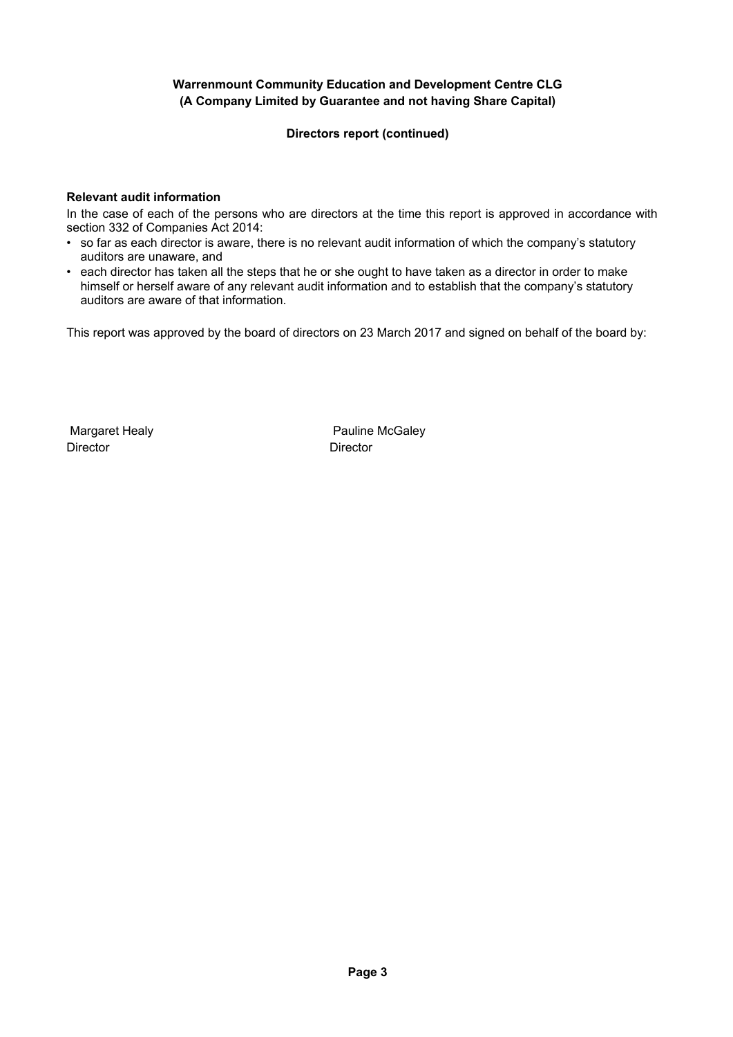# **Directors report (continued)**

## **Relevant audit information**

In the case of each of the persons who are directors at the time this report is approved in accordance with section 332 of Companies Act 2014:

- so far as each director is aware, there is no relevant audit information of which the company's statutory auditors are unaware, and
- each director has taken all the steps that he or she ought to have taken as a director in order to make himself or herself aware of any relevant audit information and to establish that the company's statutory auditors are aware of that information.

This report was approved by the board of directors on 23 March 2017 and signed on behalf of the board by:

Director Director

Margaret Healy **Pauline McGaley**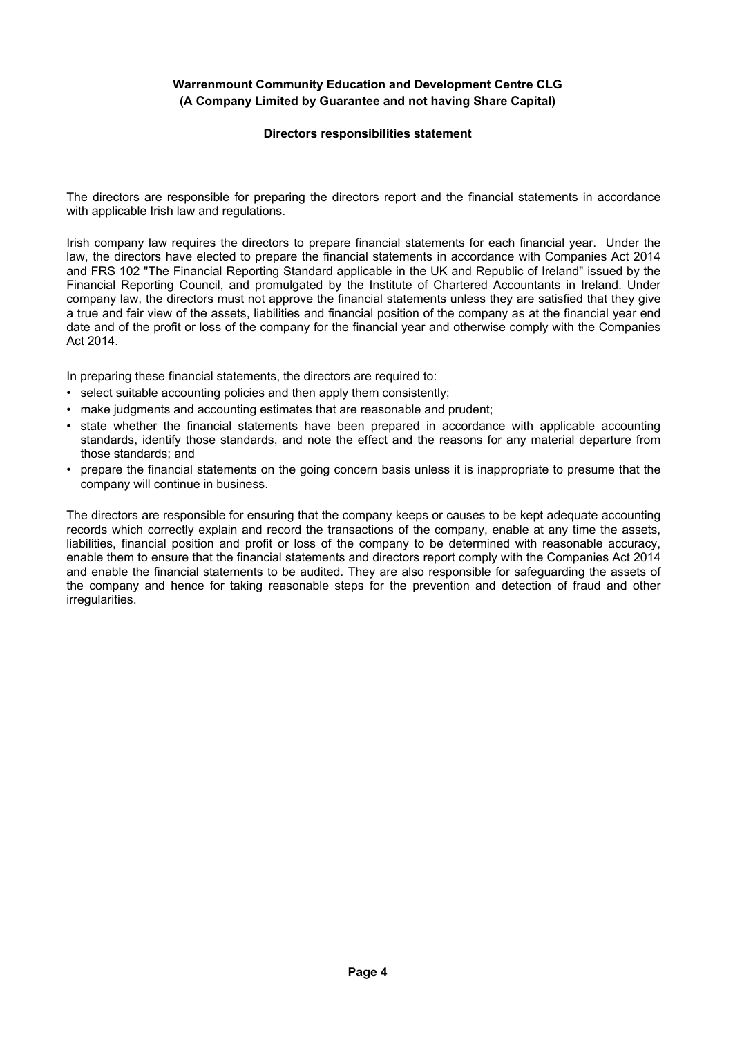### **Directors responsibilities statement**

The directors are responsible for preparing the directors report and the financial statements in accordance with applicable Irish law and regulations.

Irish company law requires the directors to prepare financial statements for each financial year. Under the law, the directors have elected to prepare the financial statements in accordance with Companies Act 2014 and FRS 102 "The Financial Reporting Standard applicable in the UK and Republic of Ireland" issued by the Financial Reporting Council, and promulgated by the Institute of Chartered Accountants in Ireland. Under company law, the directors must not approve the financial statements unless they are satisfied that they give a true and fair view of the assets, liabilities and financial position of the company as at the financial year end date and of the profit or loss of the company for the financial year and otherwise comply with the Companies Act 2014.

In preparing these financial statements, the directors are required to:

- select suitable accounting policies and then apply them consistently;
- make judgments and accounting estimates that are reasonable and prudent;
- state whether the financial statements have been prepared in accordance with applicable accounting standards, identify those standards, and note the effect and the reasons for any material departure from those standards; and
- prepare the financial statements on the going concern basis unless it is inappropriate to presume that the company will continue in business.

The directors are responsible for ensuring that the company keeps or causes to be kept adequate accounting records which correctly explain and record the transactions of the company, enable at any time the assets, liabilities, financial position and profit or loss of the company to be determined with reasonable accuracy, enable them to ensure that the financial statements and directors report comply with the Companies Act 2014 and enable the financial statements to be audited. They are also responsible for safeguarding the assets of the company and hence for taking reasonable steps for the prevention and detection of fraud and other irregularities.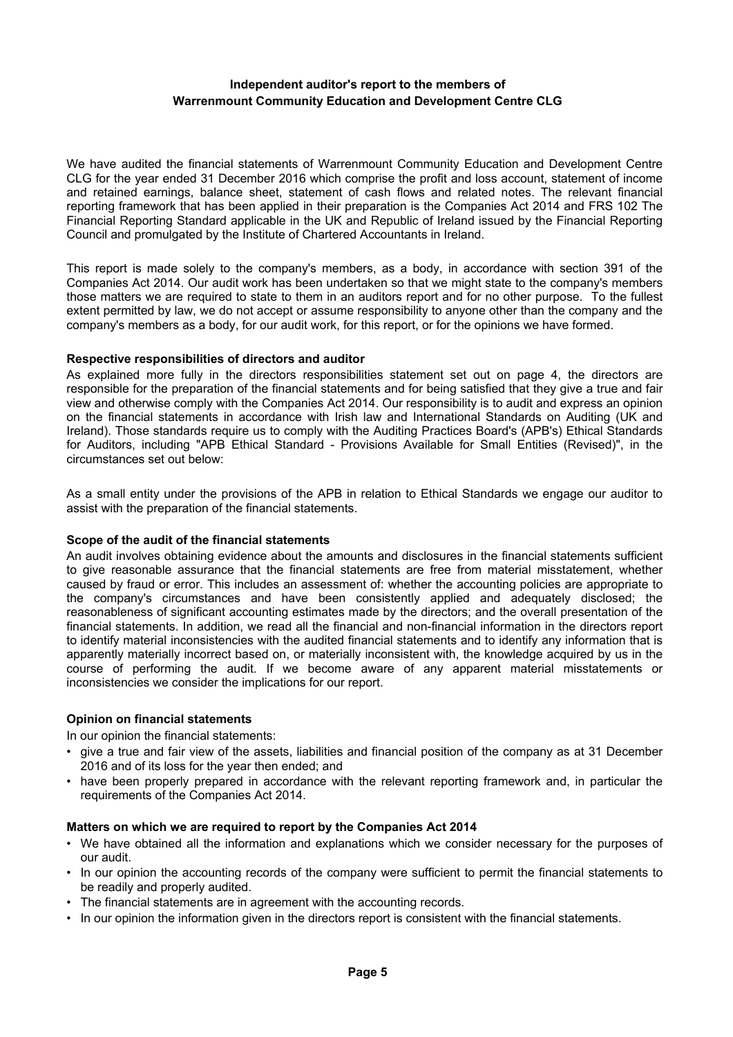## **Independent auditor's report to the members of Warrenmount Community Education and Development Centre CLG**

We have audited the financial statements of Warrenmount Community Education and Development Centre CLG for the year ended 31 December 2016 which comprise the profit and loss account, statement of income and retained earnings, balance sheet, statement of cash flows and related notes. The relevant financial reporting framework that has been applied in their preparation is the Companies Act 2014 and FRS 102 The Financial Reporting Standard applicable in the UK and Republic of Ireland issued by the Financial Reporting Council and promulgated by the Institute of Chartered Accountants in Ireland.

This report is made solely to the company's members, as a body, in accordance with section 391 of the Companies Act 2014. Our audit work has been undertaken so that we might state to the company's members those matters we are required to state to them in an auditors report and for no other purpose. To the fullest extent permitted by law, we do not accept or assume responsibility to anyone other than the company and the company's members as a body, for our audit work, for this report, or for the opinions we have formed.

### **Respective responsibilities of directors and auditor**

As explained more fully in the directors responsibilities statement set out on page 4, the directors are responsible for the preparation of the financial statements and for being satisfied that they give a true and fair view and otherwise comply with the Companies Act 2014. Our responsibility is to audit and express an opinion on the financial statements in accordance with Irish law and International Standards on Auditing (UK and Ireland). Those standards require us to comply with the Auditing Practices Board's (APB's) Ethical Standards for Auditors, including "APB Ethical Standard - Provisions Available for Small Entities (Revised)", in the circumstances set out below:

As a small entity under the provisions of the APB in relation to Ethical Standards we engage our auditor to assist with the preparation of the financial statements.

#### **Scope of the audit of the financial statements**

An audit involves obtaining evidence about the amounts and disclosures in the financial statements sufficient to give reasonable assurance that the financial statements are free from material misstatement, whether caused by fraud or error. This includes an assessment of: whether the accounting policies are appropriate to the company's circumstances and have been consistently applied and adequately disclosed; the reasonableness of significant accounting estimates made by the directors; and the overall presentation of the financial statements. In addition, we read all the financial and non-financial information in the directors report to identify material inconsistencies with the audited financial statements and to identify any information that is apparently materially incorrect based on, or materially inconsistent with, the knowledge acquired by us in the course of performing the audit. If we become aware of any apparent material misstatements or inconsistencies we consider the implications for our report.

#### **Opinion on financial statements**

In our opinion the financial statements:

- give a true and fair view of the assets, liabilities and financial position of the company as at 31 December 2016 and of its loss for the year then ended; and
- have been properly prepared in accordance with the relevant reporting framework and, in particular the requirements of the Companies Act 2014.

#### **Matters on which we are required to report by the Companies Act 2014**

- We have obtained all the information and explanations which we consider necessary for the purposes of our audit.
- In our opinion the accounting records of the company were sufficient to permit the financial statements to be readily and properly audited.
- The financial statements are in agreement with the accounting records.
- In our opinion the information given in the directors report is consistent with the financial statements.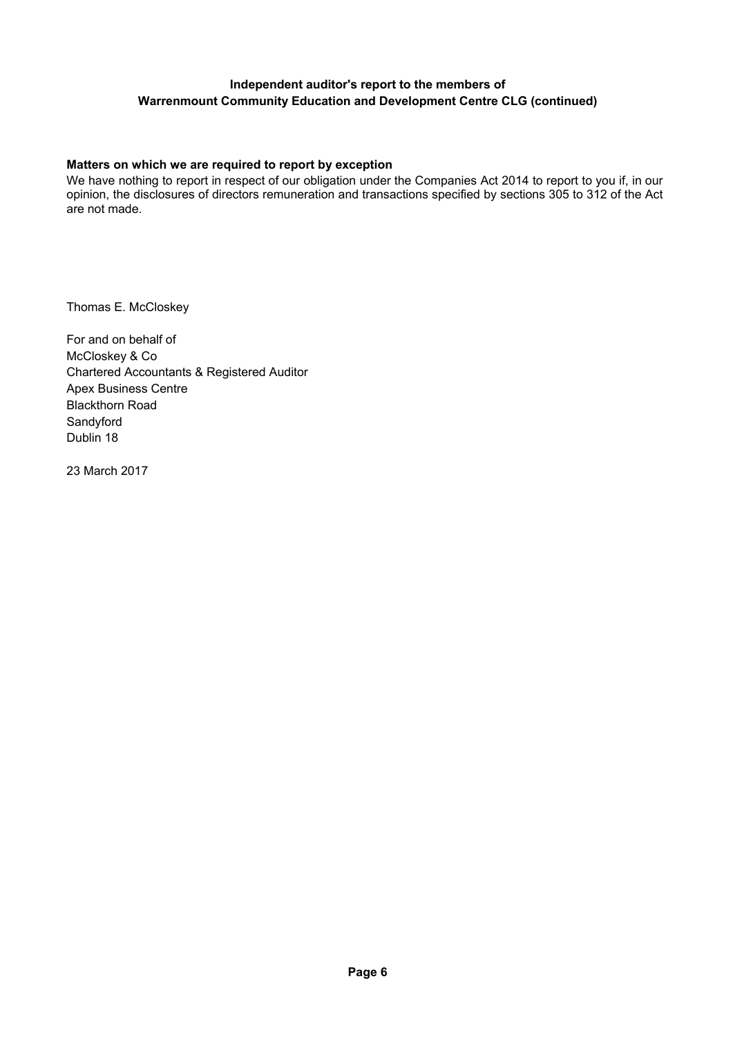# **Independent auditor's report to the members of Warrenmount Community Education and Development Centre CLG (continued)**

## **Matters on which we are required to report by exception**

We have nothing to report in respect of our obligation under the Companies Act 2014 to report to you if, in our opinion, the disclosures of directors remuneration and transactions specified by sections 305 to 312 of the Act are not made.

Thomas E. McCloskey

For and on behalf of McCloskey & Co Chartered Accountants & Registered Auditor Apex Business Centre Blackthorn Road Sandyford Dublin 18

23 March 2017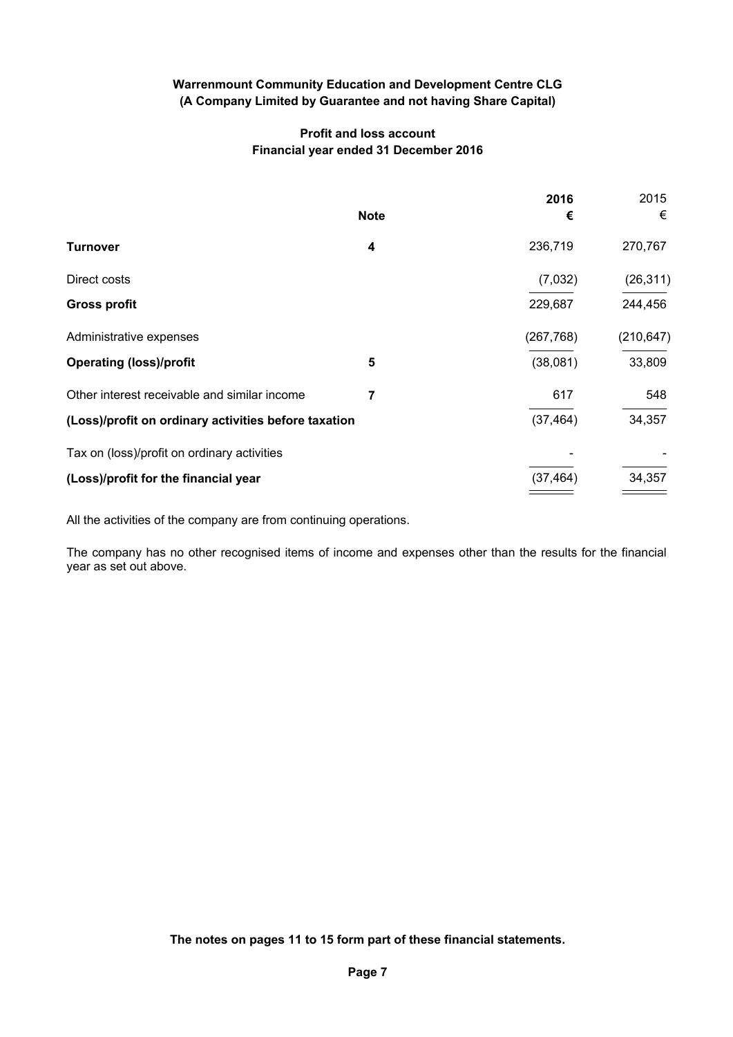# **Profit and loss account Financial year ended 31 December 2016**

|                                                      | <b>Note</b> | 2016<br>€  | 2015<br>€  |
|------------------------------------------------------|-------------|------------|------------|
| <b>Turnover</b>                                      | 4           | 236,719    | 270,767    |
| Direct costs                                         |             | (7,032)    | (26, 311)  |
| <b>Gross profit</b>                                  |             | 229,687    | 244,456    |
| Administrative expenses                              |             | (267, 768) | (210, 647) |
| <b>Operating (loss)/profit</b>                       | 5           | (38,081)   | 33,809     |
| Other interest receivable and similar income         | 7           | 617        | 548        |
| (Loss)/profit on ordinary activities before taxation |             | (37, 464)  | 34,357     |
| Tax on (loss)/profit on ordinary activities          |             |            |            |
| (Loss)/profit for the financial year                 |             | (37, 464)  | 34,357     |

All the activities of the company are from continuing operations.

The company has no other recognised items of income and expenses other than the results for the financial year as set out above.

**The notes on pages 11 to 15 form part of these financial statements.**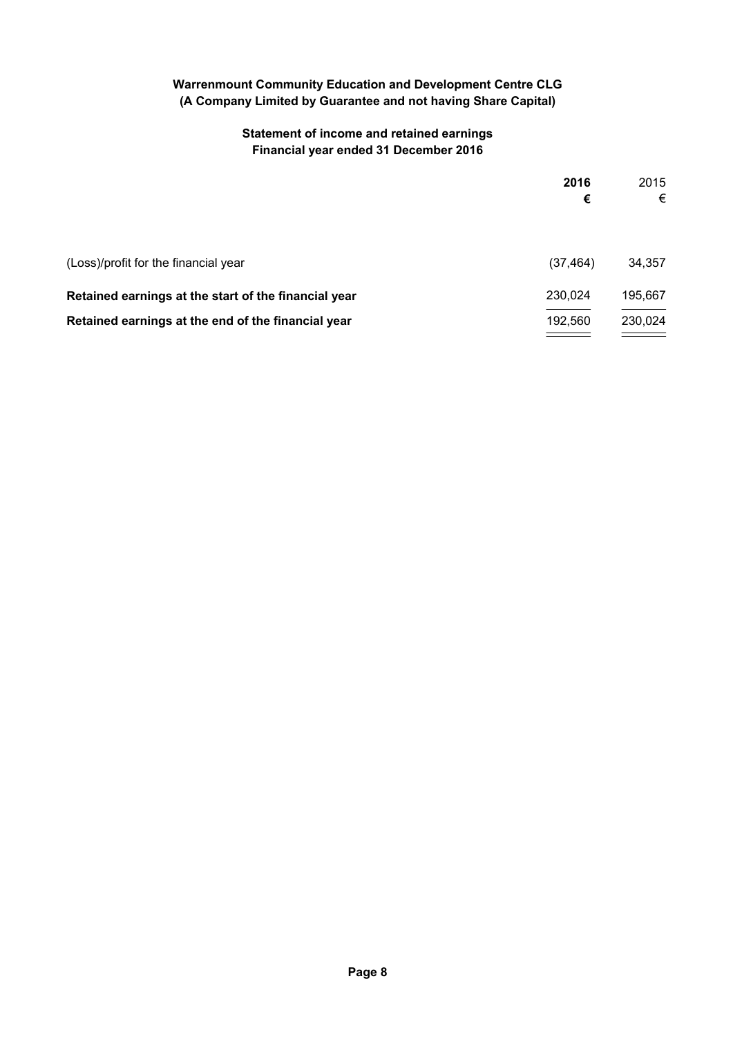# **Statement of income and retained earnings Financial year ended 31 December 2016**

|                                                      | 2016<br>€ | 2015<br>€ |
|------------------------------------------------------|-----------|-----------|
| (Loss)/profit for the financial year                 | (37, 464) | 34,357    |
| Retained earnings at the start of the financial year | 230,024   | 195,667   |
| Retained earnings at the end of the financial year   | 192,560   | 230,024   |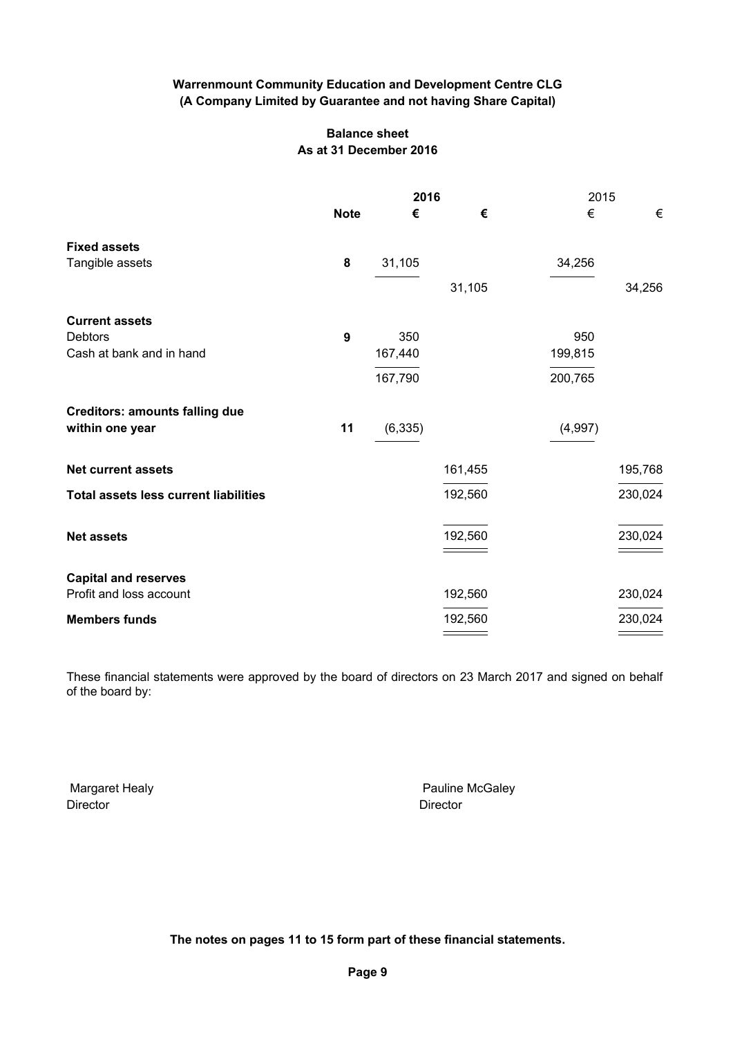# **Balance sheet As at 31 December 2016**

|                                                        | 2016        |          | 2015    |         |         |
|--------------------------------------------------------|-------------|----------|---------|---------|---------|
|                                                        | <b>Note</b> | €        | €       | €       | €       |
| <b>Fixed assets</b>                                    |             |          |         |         |         |
| Tangible assets                                        | 8           | 31,105   |         | 34,256  |         |
|                                                        |             |          | 31,105  |         | 34,256  |
| <b>Current assets</b>                                  |             |          |         |         |         |
| <b>Debtors</b>                                         | 9           | 350      |         | 950     |         |
| Cash at bank and in hand                               |             | 167,440  |         | 199,815 |         |
|                                                        |             | 167,790  |         | 200,765 |         |
| <b>Creditors: amounts falling due</b>                  |             |          |         |         |         |
| within one year                                        | 11          | (6, 335) |         | (4,997) |         |
| <b>Net current assets</b>                              |             |          | 161,455 |         | 195,768 |
| <b>Total assets less current liabilities</b>           |             |          | 192,560 |         | 230,024 |
| <b>Net assets</b>                                      |             |          | 192,560 |         | 230,024 |
|                                                        |             |          |         |         |         |
| <b>Capital and reserves</b><br>Profit and loss account |             |          | 192,560 |         | 230,024 |
| <b>Members funds</b>                                   |             |          | 192,560 |         | 230,024 |

These financial statements were approved by the board of directors on 23 March 2017 and signed on behalf of the board by:

Director Director

Margaret Healy **Pauline McGaley**<br>Director **Pauline McGaley** 

**The notes on pages 11 to 15 form part of these financial statements.**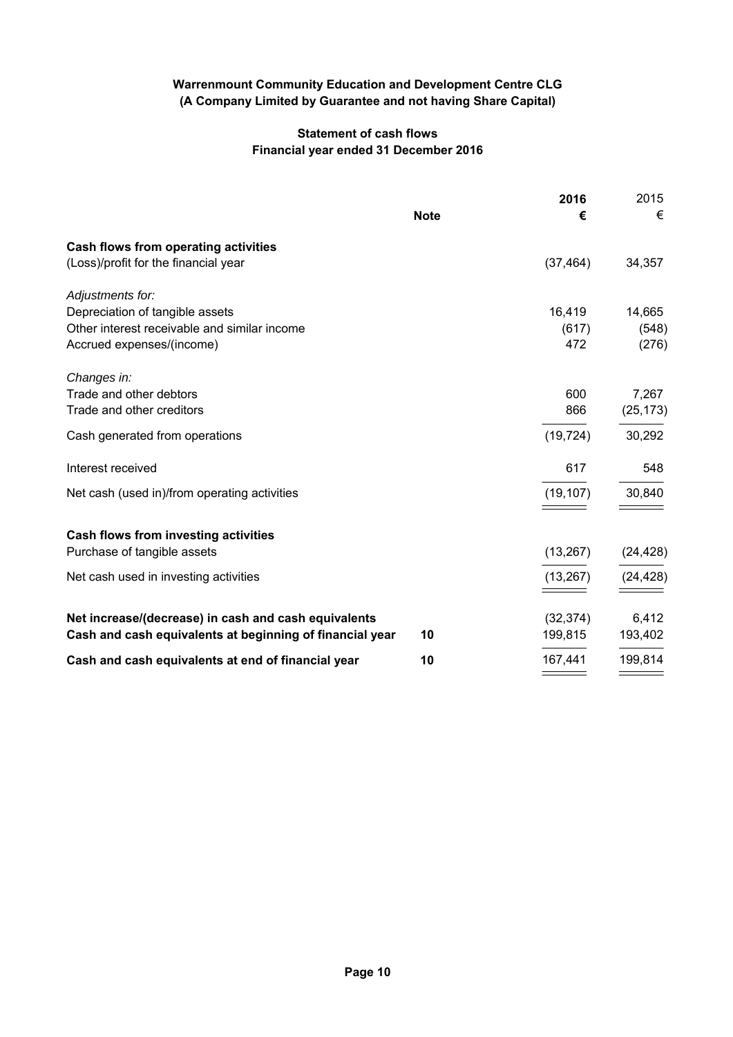# **Statement of cash flows Financial year ended 31 December 2016**

|                                                          |             | 2016      | 2015      |
|----------------------------------------------------------|-------------|-----------|-----------|
|                                                          | <b>Note</b> | €         | €         |
| Cash flows from operating activities                     |             |           |           |
| (Loss)/profit for the financial year                     |             | (37, 464) | 34,357    |
| Adjustments for:                                         |             |           |           |
| Depreciation of tangible assets                          |             | 16,419    | 14,665    |
| Other interest receivable and similar income             |             | (617)     | (548)     |
| Accrued expenses/(income)                                |             | 472       | (276)     |
| Changes in:                                              |             |           |           |
| Trade and other debtors                                  |             | 600       | 7,267     |
| Trade and other creditors                                |             | 866       | (25, 173) |
| Cash generated from operations                           |             | (19, 724) | 30,292    |
| Interest received                                        |             | 617       | 548       |
| Net cash (used in)/from operating activities             |             | (19, 107) | 30,840    |
|                                                          |             |           |           |
| Cash flows from investing activities                     |             |           |           |
| Purchase of tangible assets                              |             | (13, 267) | (24, 428) |
| Net cash used in investing activities                    |             | (13, 267) | (24, 428) |
| Net increase/(decrease) in cash and cash equivalents     |             | (32, 374) | 6,412     |
| Cash and cash equivalents at beginning of financial year | 10          | 199,815   | 193,402   |
| Cash and cash equivalents at end of financial year       | 10          | 167,441   | 199,814   |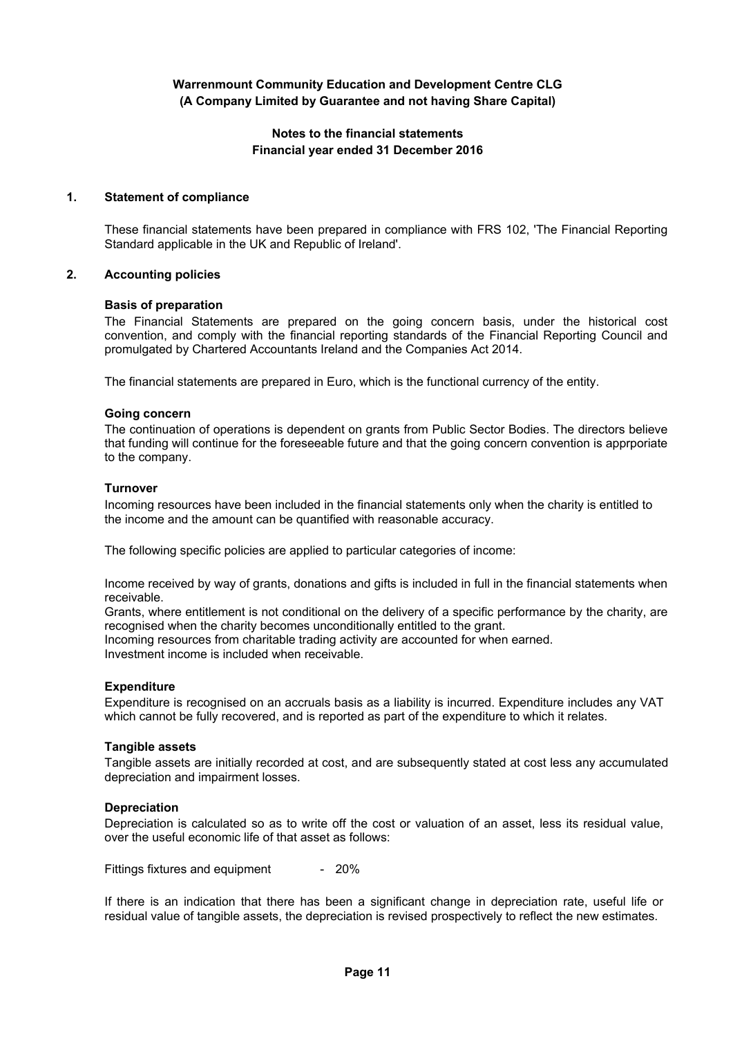### **Notes to the financial statements Financial year ended 31 December 2016**

### **1. Statement of compliance**

These financial statements have been prepared in compliance with FRS 102, 'The Financial Reporting Standard applicable in the UK and Republic of Ireland'.

### **2. Accounting policies**

#### **Basis of preparation**

The Financial Statements are prepared on the going concern basis, under the historical cost convention, and comply with the financial reporting standards of the Financial Reporting Council and promulgated by Chartered Accountants Ireland and the Companies Act 2014.

The financial statements are prepared in Euro, which is the functional currency of the entity.

#### **Going concern**

The continuation of operations is dependent on grants from Public Sector Bodies. The directors believe that funding will continue for the foreseeable future and that the going concern convention is apprporiate to the company.

#### **Turnover**

Incoming resources have been included in the financial statements only when the charity is entitled to the income and the amount can be quantified with reasonable accuracy.

The following specific policies are applied to particular categories of income:

Income received by way of grants, donations and gifts is included in full in the financial statements when receivable.

Grants, where entitlement is not conditional on the delivery of a specific performance by the charity, are recognised when the charity becomes unconditionally entitled to the grant.

Incoming resources from charitable trading activity are accounted for when earned.

Investment income is included when receivable.

#### **Expenditure**

Expenditure is recognised on an accruals basis as a liability is incurred. Expenditure includes any VAT which cannot be fully recovered, and is reported as part of the expenditure to which it relates.

#### **Tangible assets**

Tangible assets are initially recorded at cost, and are subsequently stated at cost less any accumulated depreciation and impairment losses.

#### **Depreciation**

Depreciation is calculated so as to write off the cost or valuation of an asset, less its residual value, over the useful economic life of that asset as follows:

Fittings fixtures and equipment - 20%

If there is an indication that there has been a significant change in depreciation rate, useful life or residual value of tangible assets, the depreciation is revised prospectively to reflect the new estimates.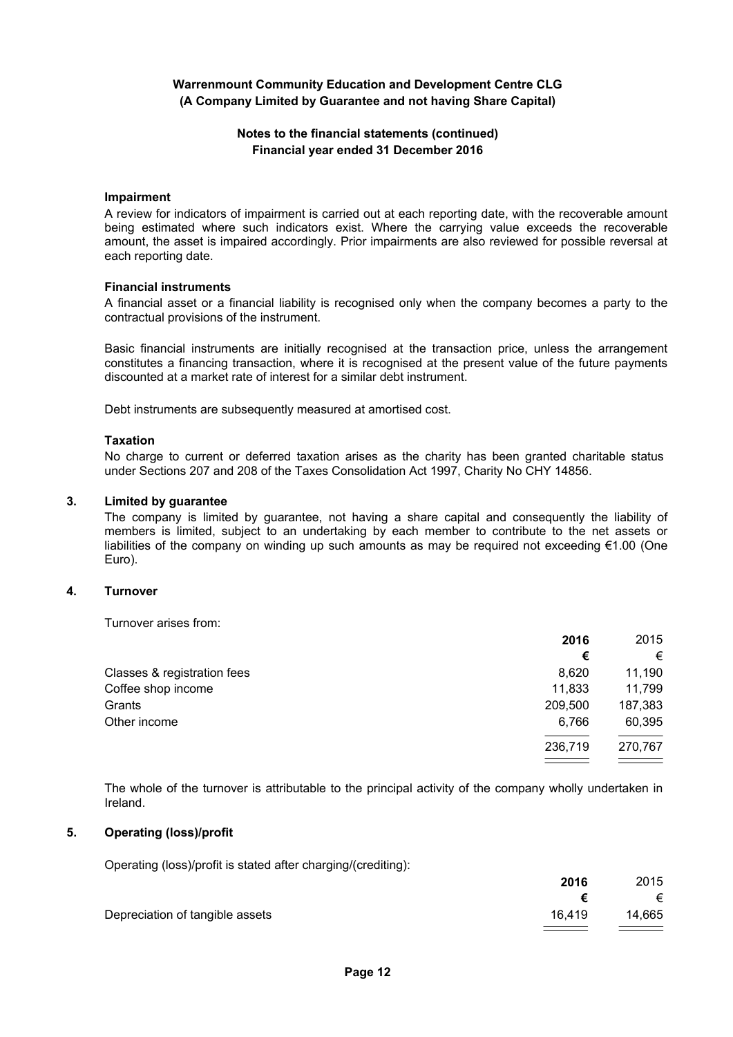### **Notes to the financial statements (continued) Financial year ended 31 December 2016**

#### **Impairment**

A review for indicators of impairment is carried out at each reporting date, with the recoverable amount being estimated where such indicators exist. Where the carrying value exceeds the recoverable amount, the asset is impaired accordingly. Prior impairments are also reviewed for possible reversal at each reporting date.

### **Financial instruments**

A financial asset or a financial liability is recognised only when the company becomes a party to the contractual provisions of the instrument.

Basic financial instruments are initially recognised at the transaction price, unless the arrangement constitutes a financing transaction, where it is recognised at the present value of the future payments discounted at a market rate of interest for a similar debt instrument.

Debt instruments are subsequently measured at amortised cost.

### **Taxation**

No charge to current or deferred taxation arises as the charity has been granted charitable status under Sections 207 and 208 of the Taxes Consolidation Act 1997, Charity No CHY 14856.

### **3. Limited by guarantee**

The company is limited by guarantee, not having a share capital and consequently the liability of members is limited, subject to an undertaking by each member to contribute to the net assets or liabilities of the company on winding up such amounts as may be required not exceeding €1.00 (One Euro).

### **4. Turnover**

Turnover arises from:

|                             | 2016    | 2015    |
|-----------------------------|---------|---------|
|                             | €       | €       |
| Classes & registration fees | 8,620   | 11,190  |
| Coffee shop income          | 11,833  | 11,799  |
| Grants                      | 209,500 | 187,383 |
| Other income                | 6,766   | 60,395  |
|                             | 236,719 | 270,767 |
|                             |         |         |

The whole of the turnover is attributable to the principal activity of the company wholly undertaken in Ireland.

### **5. Operating (loss)/profit**

Operating (loss)/profit is stated after charging/(crediting):

|                                 | 2016   | 2015   |
|---------------------------------|--------|--------|
|                                 |        | €      |
| Depreciation of tangible assets | 16.419 | 14,665 |
|                                 |        |        |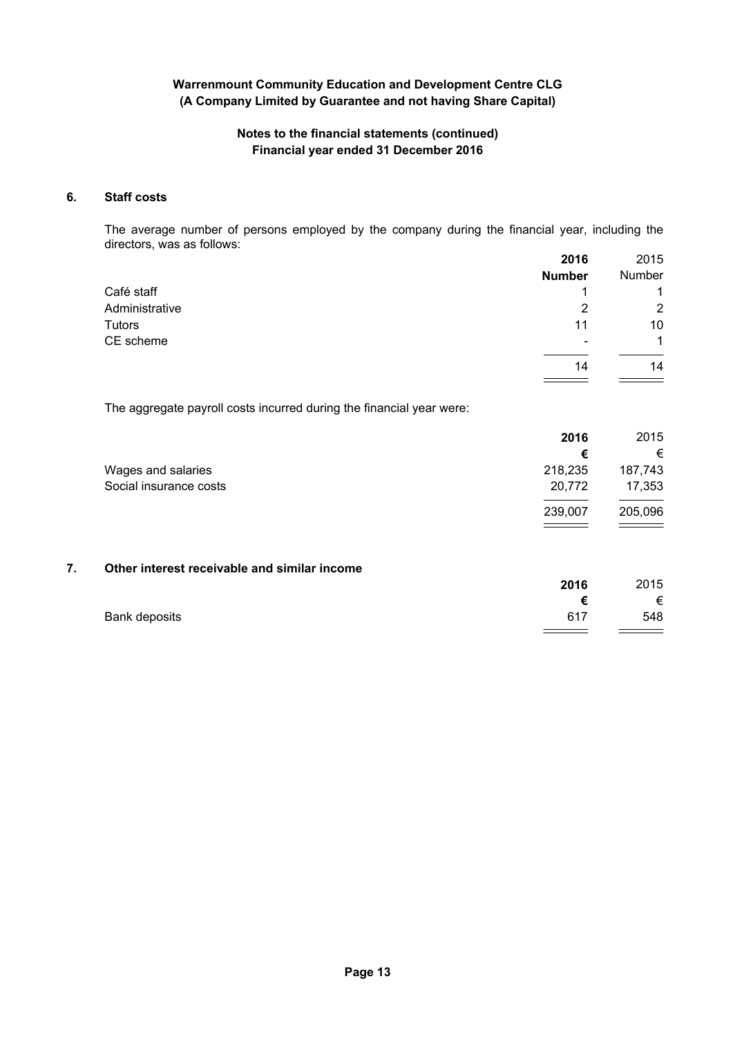## **Notes to the financial statements (continued) Financial year ended 31 December 2016**

### **6. Staff costs**

The average number of persons employed by the company during the financial year, including the directors, was as follows:

|                | 2016                     | 2015           |
|----------------|--------------------------|----------------|
|                | <b>Number</b>            | Number         |
| Café staff     |                          | 1              |
| Administrative | 2                        | $\overline{2}$ |
| <b>Tutors</b>  | 11                       | 10             |
| CE scheme      | $\overline{\phantom{a}}$ | 1              |
|                | 14                       | 14             |

The aggregate payroll costs incurred during the financial year were:

|         | €       |
|---------|---------|
| 218.235 | 187,743 |
| 20,772  | 17,353  |
| 239,007 | 205,096 |
|         |         |

### **7. Other interest receivable and similar income**

|               | 2016 | 2015 |
|---------------|------|------|
|               |      | €    |
| Bank deposits | 617  | 548  |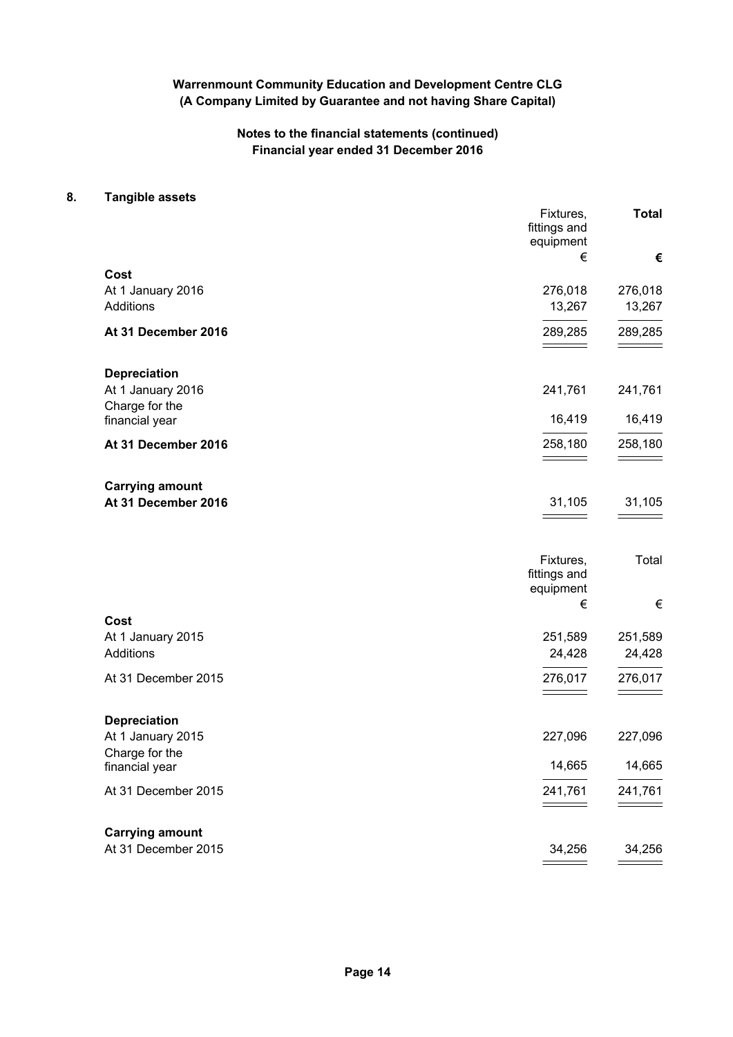# **Notes to the financial statements (continued) Financial year ended 31 December 2016**

## **8. Tangible assets**

|                                                            | Fixtures,<br>fittings and<br>equipment | <b>Total</b>      |
|------------------------------------------------------------|----------------------------------------|-------------------|
|                                                            | €                                      | €                 |
| Cost<br>At 1 January 2016                                  | 276,018                                | 276,018           |
| Additions                                                  | 13,267                                 | 13,267            |
| At 31 December 2016                                        | 289,285                                | 289,285           |
|                                                            |                                        |                   |
| <b>Depreciation</b><br>At 1 January 2016<br>Charge for the | 241,761                                | 241,761           |
| financial year                                             | 16,419                                 | 16,419            |
| At 31 December 2016                                        | 258,180                                | 258,180           |
| <b>Carrying amount</b>                                     |                                        |                   |
| At 31 December 2016                                        | 31,105                                 | 31,105            |
|                                                            | Fixtures,<br>fittings and<br>equipment | Total             |
|                                                            | €                                      | €                 |
| Cost                                                       |                                        |                   |
| At 1 January 2015<br>Additions                             | 251,589<br>24,428                      | 251,589<br>24,428 |
| At 31 December 2015                                        | 276,017                                | 276,017           |
| <b>Depreciation</b>                                        |                                        |                   |
| At 1 January 2015<br>Charge for the                        | 227,096                                | 227,096           |
| financial year                                             | 14,665                                 | 14,665            |
| At 31 December 2015                                        | 241,761                                | 241,761           |
| <b>Carrying amount</b>                                     |                                        |                   |
| At 31 December 2015                                        | 34,256                                 | 34,256            |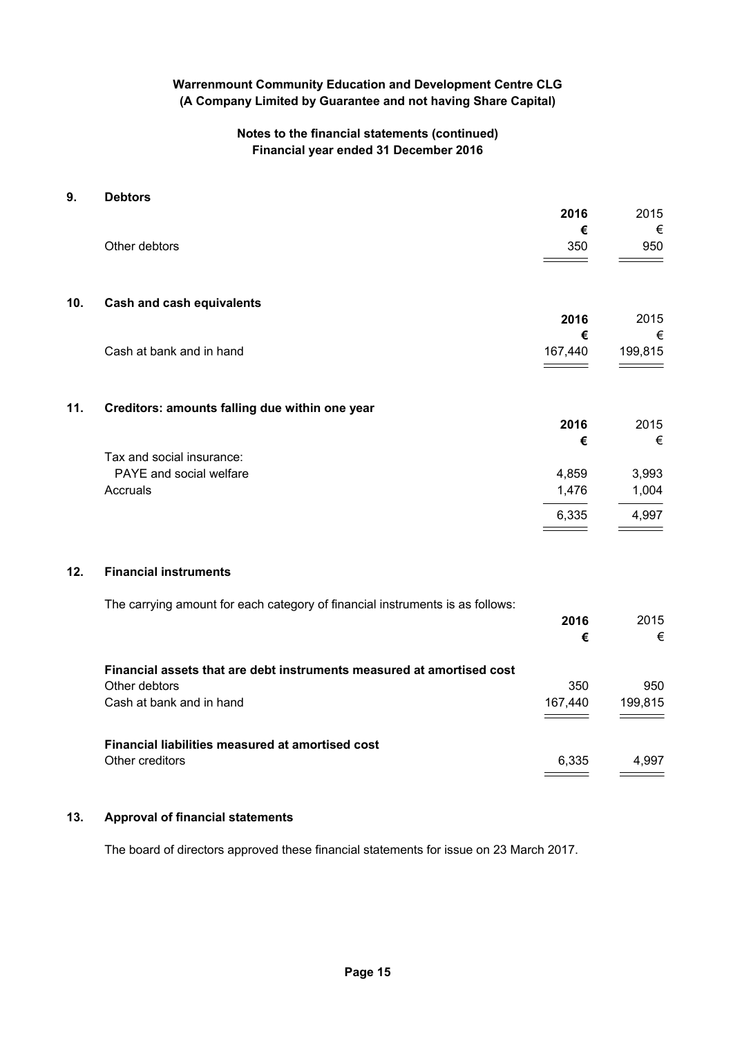# **Notes to the financial statements (continued) Financial year ended 31 December 2016**

### **9. Debtors**

|     |                                                                               | 2016     | 2015     |
|-----|-------------------------------------------------------------------------------|----------|----------|
|     | Other debtors                                                                 | €<br>350 | €<br>950 |
|     |                                                                               |          |          |
| 10. | <b>Cash and cash equivalents</b>                                              |          |          |
|     |                                                                               | 2016     | 2015     |
|     |                                                                               | €        | €        |
|     | Cash at bank and in hand                                                      | 167,440  | 199,815  |
| 11. | Creditors: amounts falling due within one year                                |          |          |
|     |                                                                               | 2016     | 2015     |
|     |                                                                               | €        | €        |
|     | Tax and social insurance:                                                     |          |          |
|     | PAYE and social welfare                                                       | 4,859    | 3,993    |
|     | Accruals                                                                      | 1,476    | 1,004    |
|     |                                                                               | 6,335    | 4,997    |
|     |                                                                               |          |          |
| 12. | <b>Financial instruments</b>                                                  |          |          |
|     | The carrying amount for each category of financial instruments is as follows: |          |          |
|     |                                                                               | 2016     | 2015     |
|     |                                                                               | €        | €        |
|     | Financial assets that are debt instruments measured at amortised cost         |          |          |
|     | Other debtors                                                                 | 350      | 950      |
|     | Cash at bank and in hand                                                      | 167,440  | 199,815  |
|     | Financial liabilities measured at amortised cost                              |          |          |
|     | Other creditors                                                               | 6,335    | 4,997    |
|     |                                                                               |          |          |

# **13. Approval of financial statements**

The board of directors approved these financial statements for issue on 23 March 2017.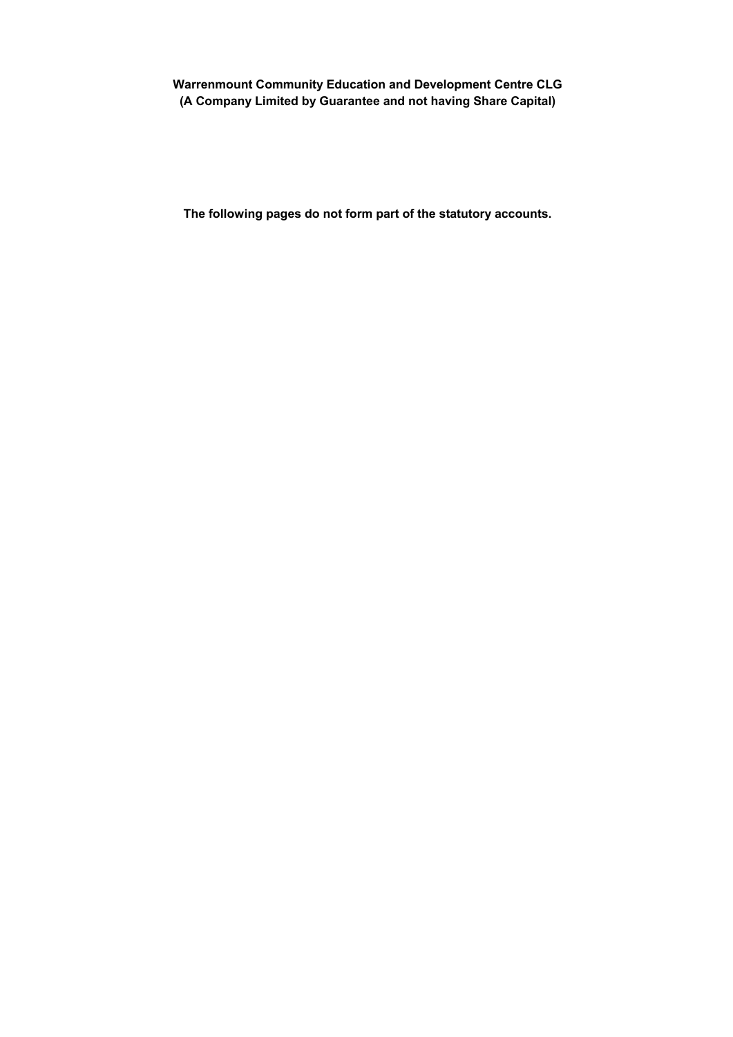**The following pages do not form part of the statutory accounts.**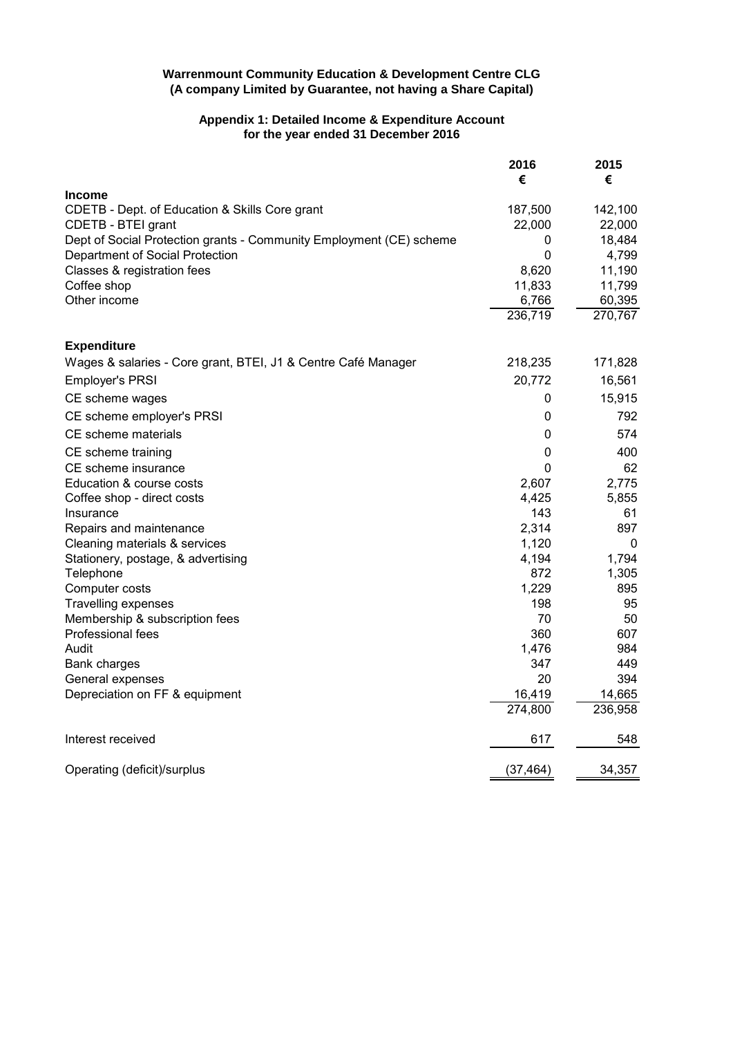# **Appendix 1: Detailed Income & Expenditure Account for the year ended 31 December 2016**

|                                                                     | 2016<br>€        | 2015<br>€         |
|---------------------------------------------------------------------|------------------|-------------------|
| <b>Income</b>                                                       |                  |                   |
| CDETB - Dept. of Education & Skills Core grant                      | 187,500          | 142,100           |
| CDETB - BTEI grant                                                  | 22,000           | 22,000            |
| Dept of Social Protection grants - Community Employment (CE) scheme | 0                | 18,484            |
| Department of Social Protection                                     | 0                | 4,799             |
| Classes & registration fees                                         | 8,620            | 11,190            |
| Coffee shop                                                         | 11,833           | 11,799            |
| Other income                                                        | 6,766<br>236,719 | 60,395<br>270,767 |
|                                                                     |                  |                   |
| <b>Expenditure</b>                                                  |                  |                   |
| Wages & salaries - Core grant, BTEI, J1 & Centre Café Manager       | 218,235          | 171,828           |
| Employer's PRSI                                                     | 20,772           | 16,561            |
| CE scheme wages                                                     | 0                | 15,915            |
| CE scheme employer's PRSI                                           | 0                | 792               |
| CE scheme materials                                                 | 0                | 574               |
| CE scheme training                                                  | 0                | 400               |
| CE scheme insurance                                                 | 0                | 62                |
| Education & course costs                                            | 2,607            | 2,775             |
| Coffee shop - direct costs                                          | 4,425            | 5,855             |
| Insurance                                                           | 143              | 61                |
| Repairs and maintenance                                             | 2,314            | 897               |
| Cleaning materials & services                                       | 1,120            | 0                 |
| Stationery, postage, & advertising                                  | 4,194            | 1,794             |
| Telephone                                                           | 872              | 1,305             |
| Computer costs                                                      | 1,229            | 895               |
| Travelling expenses                                                 | 198              | 95                |
| Membership & subscription fees                                      | 70               | 50                |
| Professional fees                                                   | 360              | 607               |
| Audit                                                               | 1,476            | 984               |
| Bank charges                                                        | 347              | 449               |
| General expenses                                                    | 20               | 394               |
| Depreciation on FF & equipment                                      | 16,419           | 14,665            |
|                                                                     | 274,800          | 236,958           |
| Interest received                                                   | 617              | 548               |
| Operating (deficit)/surplus                                         | (37, 464)        | 34,357            |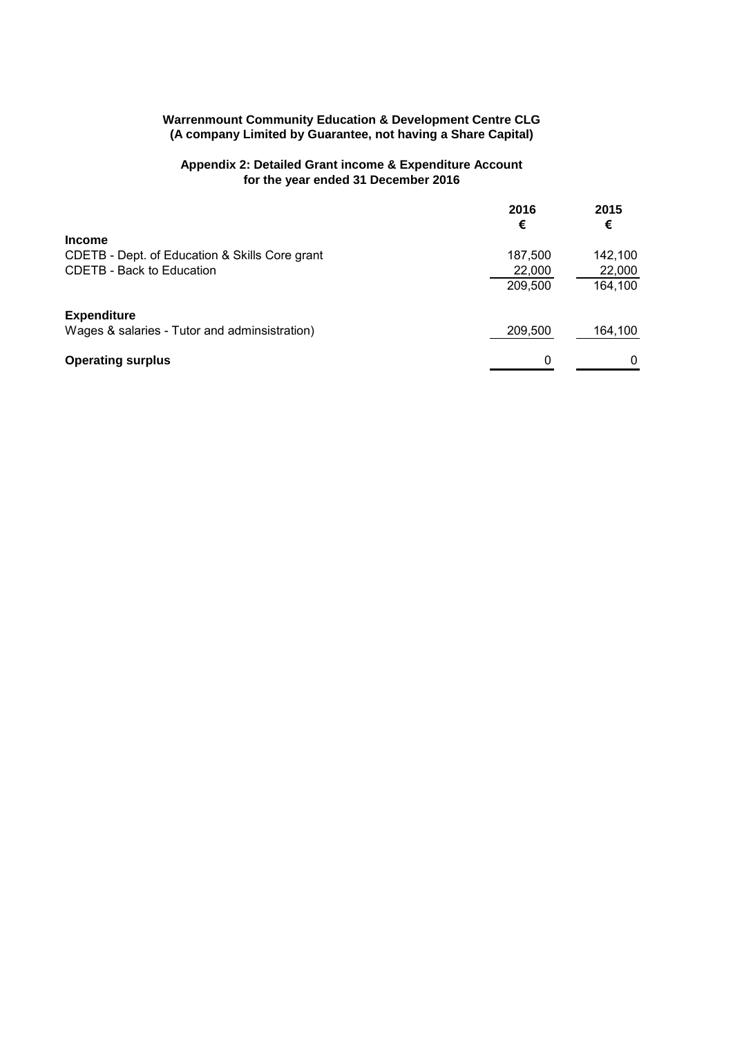## **Appendix 2: Detailed Grant income & Expenditure Account for the year ended 31 December 2016**

|                                                | 2016<br>€ | 2015<br>€ |
|------------------------------------------------|-----------|-----------|
| <b>Income</b>                                  |           |           |
| CDETB - Dept. of Education & Skills Core grant | 187,500   | 142,100   |
| CDETB - Back to Education                      | 22,000    | 22,000    |
|                                                | 209,500   | 164,100   |
| <b>Expenditure</b>                             |           |           |
| Wages & salaries - Tutor and adminsistration)  | 209,500   | 164,100   |
| <b>Operating surplus</b>                       | 0         | 0         |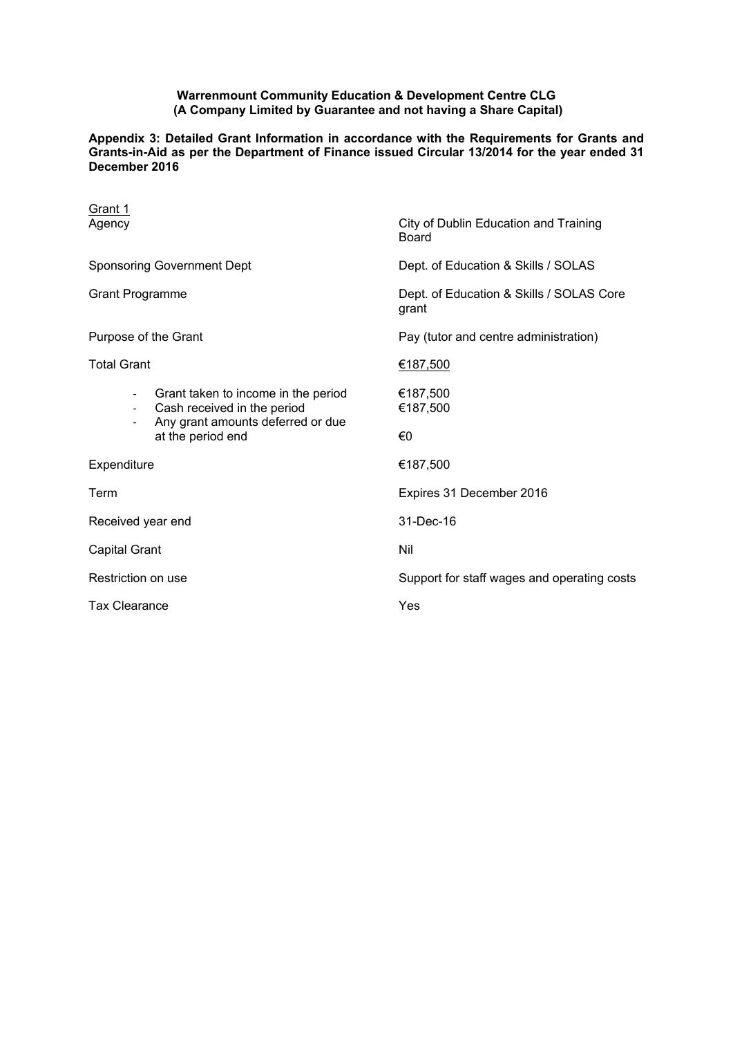**Appendix 3: Detailed Grant Information in accordance with the Requirements for Grants and Grants-in-Aid as per the Department of Finance issued Circular 13/2014 for the year ended 31 December 2016** 

| Grant 1                                                                                        |                                                       |  |
|------------------------------------------------------------------------------------------------|-------------------------------------------------------|--|
| Agency                                                                                         | City of Dublin Education and Training<br><b>Board</b> |  |
| <b>Sponsoring Government Dept</b>                                                              | Dept. of Education & Skills / SOLAS                   |  |
| <b>Grant Programme</b>                                                                         | Dept. of Education & Skills / SOLAS Core<br>grant     |  |
| Purpose of the Grant                                                                           | Pay (tutor and centre administration)                 |  |
| <b>Total Grant</b>                                                                             | €187,500                                              |  |
| Grant taken to income in the period<br>$\overline{\phantom{a}}$<br>Cash received in the period | €187,500<br>€187,500                                  |  |
| Any grant amounts deferred or due<br>$\overline{\phantom{a}}$<br>at the period end             | €0                                                    |  |
| Expenditure                                                                                    | €187,500                                              |  |
| Term                                                                                           | Expires 31 December 2016                              |  |
| Received year end                                                                              | 31-Dec-16                                             |  |
| <b>Capital Grant</b>                                                                           | Nil                                                   |  |
| Restriction on use                                                                             | Support for staff wages and operating costs           |  |
| <b>Tax Clearance</b>                                                                           | Yes                                                   |  |
|                                                                                                |                                                       |  |